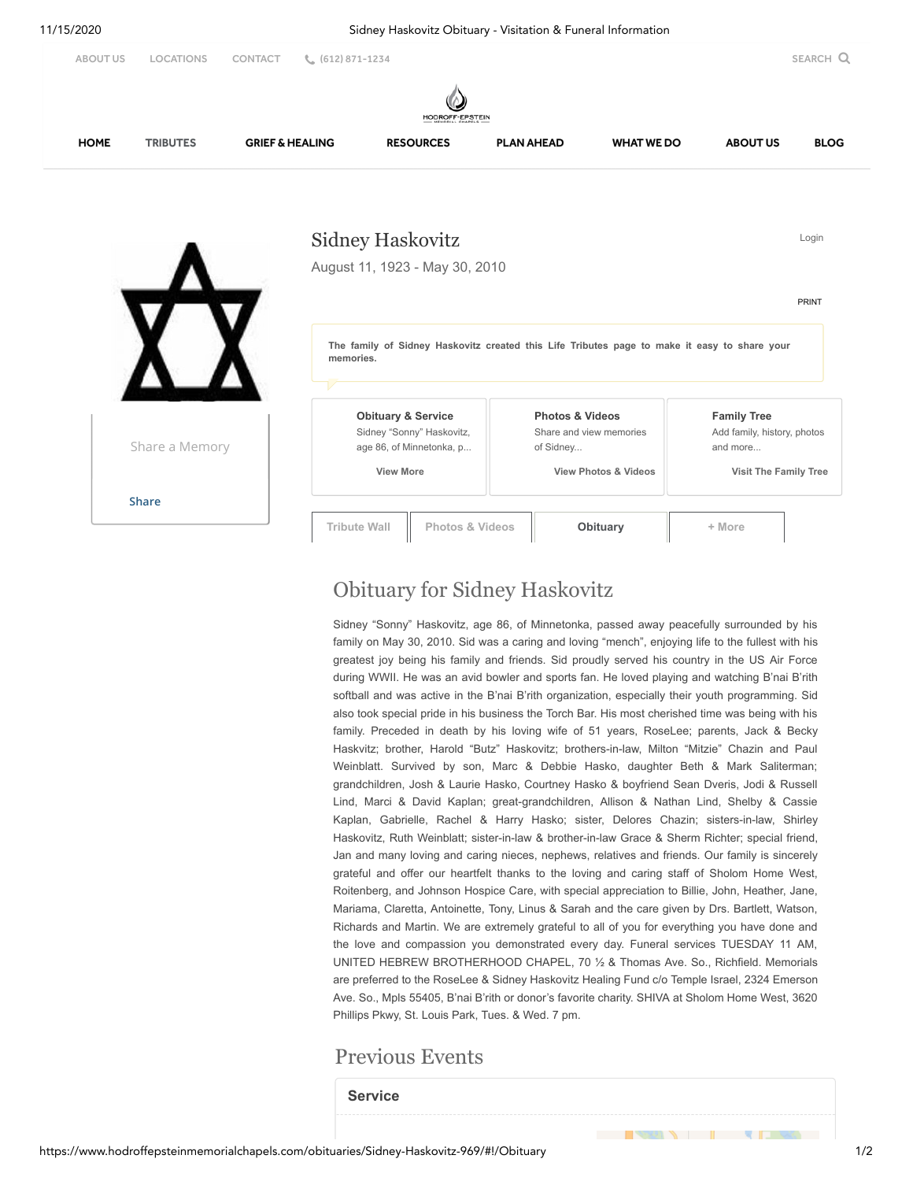

## Obituary for Sidney Haskovitz

Sidney "Sonny" Haskovitz, age 86, of Minnetonka, passed away peacefully surrounded by his family on May 30, 2010. Sid was a caring and loving "mench", enjoying life to the fullest with his greatest joy being his family and friends. Sid proudly served his country in the US Air Force during WWII. He was an avid bowler and sports fan. He loved playing and watching B'nai B'rith softball and was active in the B'nai B'rith organization, especially their youth programming. Sid also took special pride in his business the Torch Bar. His most cherished time was being with his family. Preceded in death by his loving wife of 51 years, RoseLee; parents, Jack & Becky Haskvitz; brother, Harold "Butz" Haskovitz; brothers-in-law, Milton "Mitzie" Chazin and Paul Weinblatt. Survived by son, Marc & Debbie Hasko, daughter Beth & Mark Saliterman; grandchildren, Josh & Laurie Hasko, Courtney Hasko & boyfriend Sean Dveris, Jodi & Russell Lind, Marci & David Kaplan; great-grandchildren, Allison & Nathan Lind, Shelby & Cassie Kaplan, Gabrielle, Rachel & Harry Hasko; sister, Delores Chazin; sisters-in-law, Shirley Haskovitz, Ruth Weinblatt; sister-in-law & brother-in-law Grace & Sherm Richter; special friend, Jan and many loving and caring nieces, nephews, relatives and friends. Our family is sincerely grateful and offer our heartfelt thanks to the loving and caring staff of Sholom Home West, Roitenberg, and Johnson Hospice Care, with special appreciation to Billie, John, Heather, Jane, Mariama, Claretta, Antoinette, Tony, Linus & Sarah and the care given by Drs. Bartlett, Watson, Richards and Martin. We are extremely grateful to all of you for everything you have done and the love and compassion you demonstrated every day. Funeral services TUESDAY 11 AM, UNITED HEBREW BROTHERHOOD CHAPEL, 70 ½ & Thomas Ave. So., Richfield. Memorials are preferred to the RoseLee & Sidney Haskovitz Healing Fund c/o Temple Israel, 2324 Emerson Ave. So., Mpls 55405, B'nai B'rith or donor's favorite charity. SHIVA at Sholom Home West, 3620 Phillips Pkwy, St. Louis Park, Tues. & Wed. 7 pm.

## Previous Events

**Service**

 $\frac{1}{2}$  (1992)  $\frac{1}{2}$  (1992)  $\frac{1}{2}$  (1992)  $\frac{1}{2}$